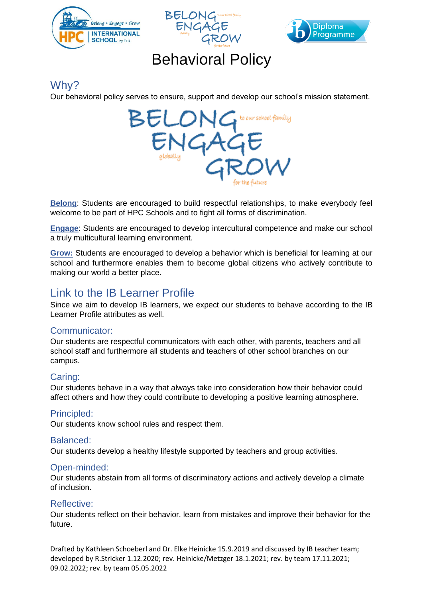





# Behavioral Policy

## Why?

Our behavioral policy serves to ensure, support and develop our school's mission statement.



**Belong**: Students are encouraged to build respectful relationships, to make everybody feel welcome to be part of HPC Schools and to fight all forms of discrimination.

**Engage**: Students are encouraged to develop intercultural competence and make our school a truly multicultural learning environment.

**Grow:** Students are encouraged to develop a behavior which is beneficial for learning at our school and furthermore enables them to become global citizens who actively contribute to making our world a better place.

# Link to the IB Learner Profile

Since we aim to develop IB learners, we expect our students to behave according to the IB Learner Profile attributes as well.

#### Communicator:

Our students are respectful communicators with each other, with parents, teachers and all school staff and furthermore all students and teachers of other school branches on our campus.

#### Caring:

Our students behave in a way that always take into consideration how their behavior could affect others and how they could contribute to developing a positive learning atmosphere.

#### Principled:

Our students know school rules and respect them.

#### Balanced:

Our students develop a healthy lifestyle supported by teachers and group activities.

#### Open-minded:

Our students abstain from all forms of discriminatory actions and actively develop a climate of inclusion.

#### Reflective:

Our students reflect on their behavior, learn from mistakes and improve their behavior for the future.

Drafted by Kathleen Schoeberl and Dr. Elke Heinicke 15.9.2019 and discussed by IB teacher team; developed by R.Stricker 1.12.2020; rev. Heinicke/Metzger 18.1.2021; rev. by team 17.11.2021; 09.02.2022; rev. by team 05.05.2022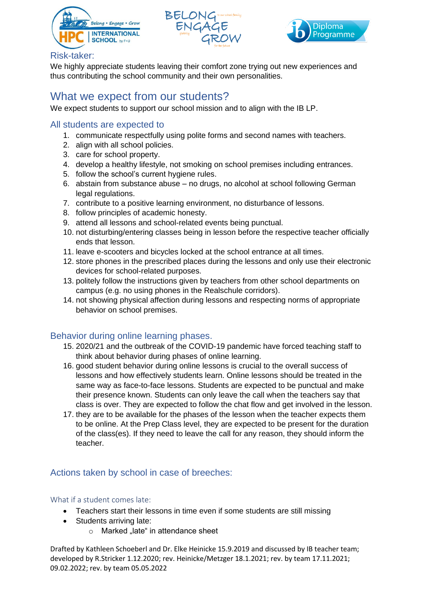





#### Risk-taker:

We highly appreciate students leaving their comfort zone trying out new experiences and thus contributing the school community and their own personalities.

### What we expect from our students?

We expect students to support our school mission and to align with the IB LP.

#### All students are expected to

- 1. communicate respectfully using polite forms and second names with teachers.
- 2. align with all school policies.
- 3. care for school property.
- 4. develop a healthy lifestyle, not smoking on school premises including entrances.
- 5. follow the school's current hygiene rules.
- 6. abstain from substance abuse no drugs, no alcohol at school following German legal regulations.
- 7. contribute to a positive learning environment, no disturbance of lessons.
- 8. follow principles of academic honesty.
- 9. attend all lessons and school-related events being punctual.
- 10. not disturbing/entering classes being in lesson before the respective teacher officially ends that lesson.
- 11. leave e-scooters and bicycles locked at the school entrance at all times.
- 12. store phones in the prescribed places during the lessons and only use their electronic devices for school-related purposes.
- 13. politely follow the instructions given by teachers from other school departments on campus (e.g. no using phones in the Realschule corridors).
- 14. not showing physical affection during lessons and respecting norms of appropriate behavior on school premises.

#### Behavior during online learning phases.

- 15. 2020/21 and the outbreak of the COVID-19 pandemic have forced teaching staff to think about behavior during phases of online learning.
- 16. good student behavior during online lessons is crucial to the overall success of lessons and how effectively students learn. Online lessons should be treated in the same way as face-to-face lessons. Students are expected to be punctual and make their presence known. Students can only leave the call when the teachers say that class is over. They are expected to follow the chat flow and get involved in the lesson.
- 17. they are to be available for the phases of the lesson when the teacher expects them to be online. At the Prep Class level, they are expected to be present for the duration of the class(es). If they need to leave the call for any reason, they should inform the teacher.

#### Actions taken by school in case of breeches:

#### What if a student comes late:

- Teachers start their lessons in time even if some students are still missing
- Students arriving late:
	- $\circ$  Marked "late" in attendance sheet

Drafted by Kathleen Schoeberl and Dr. Elke Heinicke 15.9.2019 and discussed by IB teacher team; developed by R.Stricker 1.12.2020; rev. Heinicke/Metzger 18.1.2021; rev. by team 17.11.2021; 09.02.2022; rev. by team 05.05.2022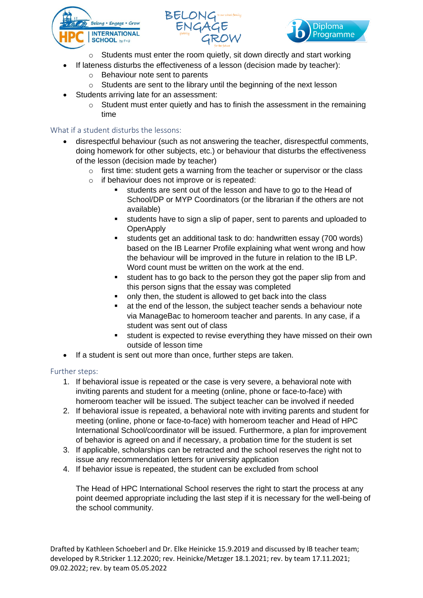





- Students must enter the room quietly, sit down directly and start working
- If lateness disturbs the effectiveness of a lesson (decision made by teacher):
	- o Behaviour note sent to parents
	- o Students are sent to the library until the beginning of the next lesson
- Students arriving late for an assessment:
	- $\circ$  Student must enter quietly and has to finish the assessment in the remaining time

#### What if a student disturbs the lessons:

- disrespectful behaviour (such as not answering the teacher, disrespectful comments, doing homework for other subjects, etc.) or behaviour that disturbs the effectiveness of the lesson (decision made by teacher)
	- o first time: student gets a warning from the teacher or supervisor or the class
	- o if behaviour does not improve or is repeated:
		- students are sent out of the lesson and have to go to the Head of School/DP or MYP Coordinators (or the librarian if the others are not available)
		- students have to sign a slip of paper, sent to parents and uploaded to **OpenApply**
		- students get an additional task to do: handwritten essay (700 words) based on the IB Learner Profile explaining what went wrong and how the behaviour will be improved in the future in relation to the IB LP. Word count must be written on the work at the end.
		- student has to go back to the person they got the paper slip from and this person signs that the essay was completed
		- only then, the student is allowed to get back into the class
		- at the end of the lesson, the subject teacher sends a behaviour note via ManageBac to homeroom teacher and parents. In any case, if a student was sent out of class
		- student is expected to revise everything they have missed on their own outside of lesson time
- If a student is sent out more than once, further steps are taken.

#### Further steps:

- 1. If behavioral issue is repeated or the case is very severe, a behavioral note with inviting parents and student for a meeting (online, phone or face-to-face) with homeroom teacher will be issued. The subject teacher can be involved if needed
- 2. If behavioral issue is repeated, a behavioral note with inviting parents and student for meeting (online, phone or face-to-face) with homeroom teacher and Head of HPC International School/coordinator will be issued. Furthermore, a plan for improvement of behavior is agreed on and if necessary, a probation time for the student is set
- 3. If applicable, scholarships can be retracted and the school reserves the right not to issue any recommendation letters for university application
- 4. If behavior issue is repeated, the student can be excluded from school

The Head of HPC International School reserves the right to start the process at any point deemed appropriate including the last step if it is necessary for the well-being of the school community.